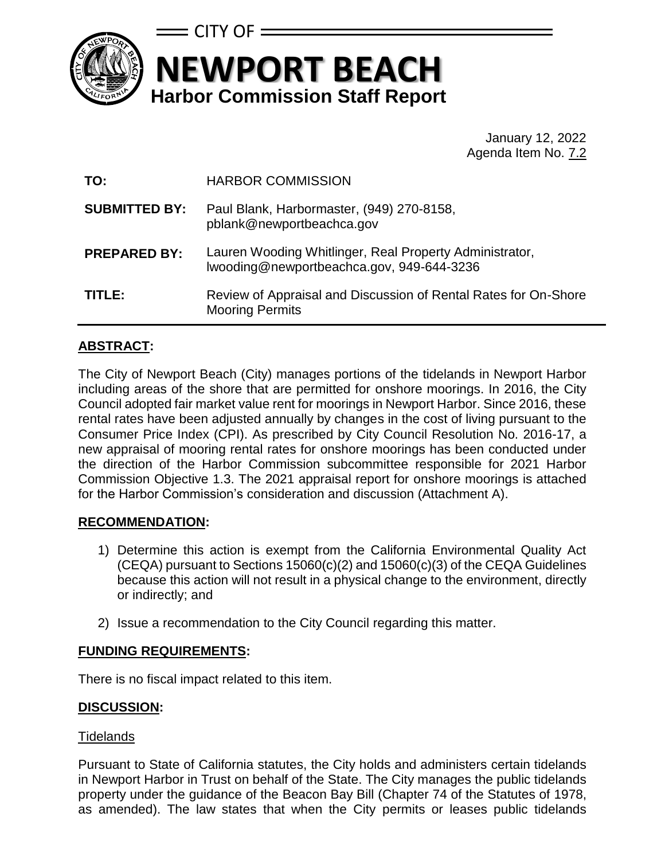

# **NEWPORT BEACH Harbor Commission Staff Report**  $\equiv$  CITY OF  $\equiv$

January 12, 2022 Agenda Item No. 7.2

| TO:                  | <b>HARBOR COMMISSION</b>                                                                             |
|----------------------|------------------------------------------------------------------------------------------------------|
| <b>SUBMITTED BY:</b> | Paul Blank, Harbormaster, (949) 270-8158,<br>pblank@newportbeachca.gov                               |
| <b>PREPARED BY:</b>  | Lauren Wooding Whitlinger, Real Property Administrator,<br>Iwooding@newportbeachca.gov, 949-644-3236 |
| TITLE:               | Review of Appraisal and Discussion of Rental Rates for On-Shore<br><b>Mooring Permits</b>            |

## **ABSTRACT:**

The City of Newport Beach (City) manages portions of the tidelands in Newport Harbor including areas of the shore that are permitted for onshore moorings. In 2016, the City Council adopted fair market value rent for moorings in Newport Harbor. Since 2016, these rental rates have been adjusted annually by changes in the cost of living pursuant to the Consumer Price Index (CPI). As prescribed by City Council Resolution No. 2016-17, a new appraisal of mooring rental rates for onshore moorings has been conducted under the direction of the Harbor Commission subcommittee responsible for 2021 Harbor Commission Objective 1.3. The 2021 appraisal report for onshore moorings is attached for the Harbor Commission's consideration and discussion (Attachment A).

## **RECOMMENDATION:**

- 1) Determine this action is exempt from the California Environmental Quality Act (CEQA) pursuant to Sections 15060(c)(2) and 15060(c)(3) of the CEQA Guidelines because this action will not result in a physical change to the environment, directly or indirectly; and
- 2) Issue a recommendation to the City Council regarding this matter.

## **FUNDING REQUIREMENTS:**

There is no fiscal impact related to this item.

## **DISCUSSION:**

#### **Tidelands**

Pursuant to State of California statutes, the City holds and administers certain tidelands in Newport Harbor in Trust on behalf of the State. The City manages the public tidelands property under the guidance of the Beacon Bay Bill (Chapter 74 of the Statutes of 1978, as amended). The law states that when the City permits or leases public tidelands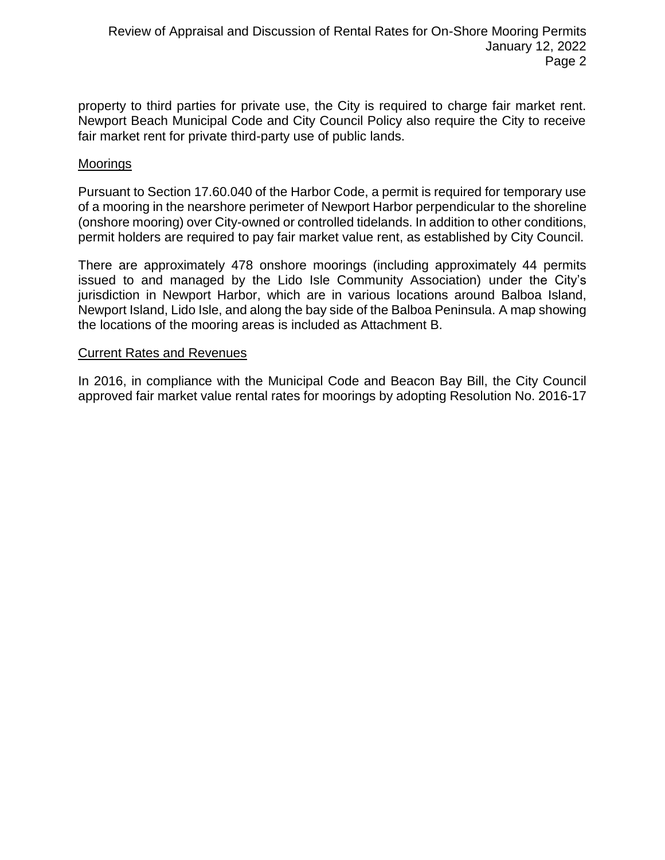property to third parties for private use, the City is required to charge fair market rent. Newport Beach Municipal Code and City Council Policy also require the City to receive fair market rent for private third-party use of public lands.

#### Moorings

Pursuant to Section 17.60.040 of the Harbor Code, a permit is required for temporary use of a mooring in the nearshore perimeter of Newport Harbor perpendicular to the shoreline (onshore mooring) over City-owned or controlled tidelands. In addition to other conditions, permit holders are required to pay fair market value rent, as established by City Council.

There are approximately 478 onshore moorings (including approximately 44 permits issued to and managed by the Lido Isle Community Association) under the City's jurisdiction in Newport Harbor, which are in various locations around Balboa Island, Newport Island, Lido Isle, and along the bay side of the Balboa Peninsula. A map showing the locations of the mooring areas is included as Attachment B.

#### Current Rates and Revenues

In 2016, in compliance with the Municipal Code and Beacon Bay Bill, the City Council approved fair market value rental rates for moorings by adopting Resolution No. 2016-17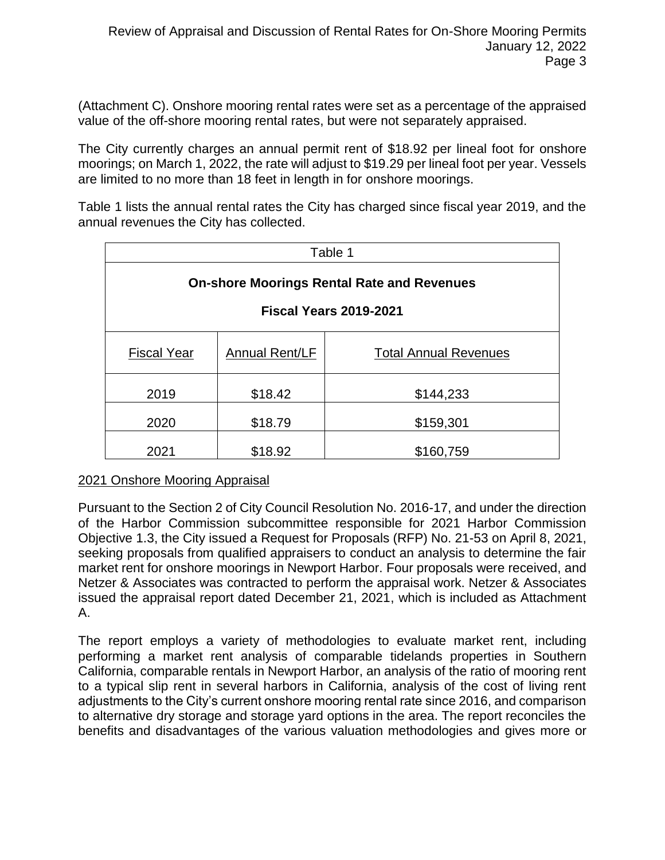(Attachment C). Onshore mooring rental rates were set as a percentage of the appraised value of the off-shore mooring rental rates, but were not separately appraised.

The City currently charges an annual permit rent of \$18.92 per lineal foot for onshore moorings; on March 1, 2022, the rate will adjust to \$19.29 per lineal foot per year. Vessels are limited to no more than 18 feet in length in for onshore moorings.

Table 1 lists the annual rental rates the City has charged since fiscal year 2019, and the annual revenues the City has collected.

| Table 1                                           |                       |                              |  |  |  |
|---------------------------------------------------|-----------------------|------------------------------|--|--|--|
| <b>On-shore Moorings Rental Rate and Revenues</b> |                       |                              |  |  |  |
| <b>Fiscal Years 2019-2021</b>                     |                       |                              |  |  |  |
| <b>Fiscal Year</b>                                | <b>Annual Rent/LF</b> | <b>Total Annual Revenues</b> |  |  |  |
| 2019                                              | \$18.42               | \$144,233                    |  |  |  |
| 2020                                              | \$18.79               | \$159,301                    |  |  |  |
| 2021                                              | \$18.92               | \$160,759                    |  |  |  |

#### 2021 Onshore Mooring Appraisal

Pursuant to the Section 2 of City Council Resolution No. 2016-17, and under the direction of the Harbor Commission subcommittee responsible for 2021 Harbor Commission Objective 1.3, the City issued a Request for Proposals (RFP) No. 21-53 on April 8, 2021, seeking proposals from qualified appraisers to conduct an analysis to determine the fair market rent for onshore moorings in Newport Harbor. Four proposals were received, and Netzer & Associates was contracted to perform the appraisal work. Netzer & Associates issued the appraisal report dated December 21, 2021, which is included as Attachment A.

The report employs a variety of methodologies to evaluate market rent, including performing a market rent analysis of comparable tidelands properties in Southern California, comparable rentals in Newport Harbor, an analysis of the ratio of mooring rent to a typical slip rent in several harbors in California, analysis of the cost of living rent adjustments to the City's current onshore mooring rental rate since 2016, and comparison to alternative dry storage and storage yard options in the area. The report reconciles the benefits and disadvantages of the various valuation methodologies and gives more or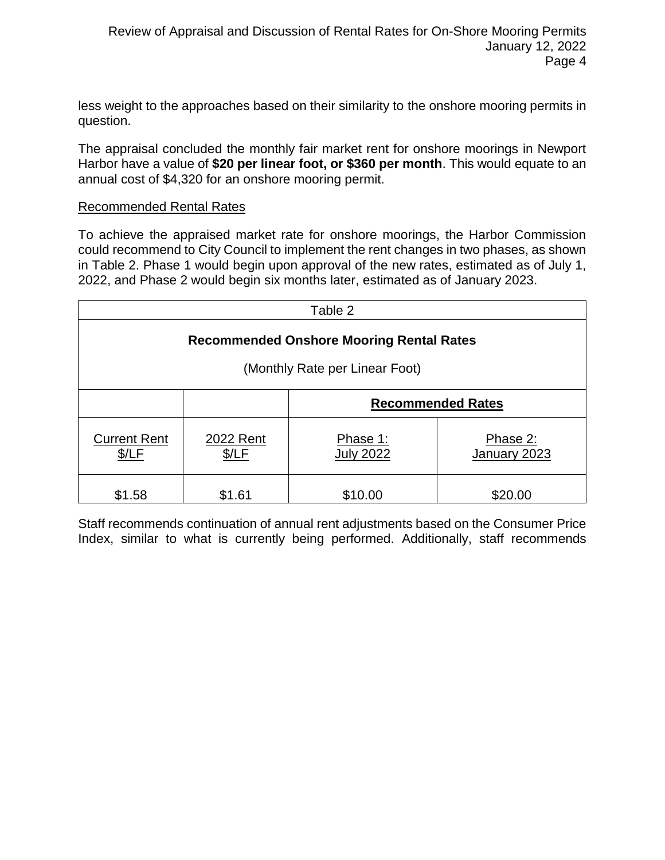less weight to the approaches based on their similarity to the onshore mooring permits in question.

The appraisal concluded the monthly fair market rent for onshore moorings in Newport Harbor have a value of **\$20 per linear foot, or \$360 per month**. This would equate to an annual cost of \$4,320 for an onshore mooring permit.

#### Recommended Rental Rates

To achieve the appraised market rate for onshore moorings, the Harbor Commission could recommend to City Council to implement the rent changes in two phases, as shown in Table 2. Phase 1 would begin upon approval of the new rates, estimated as of July 1, 2022, and Phase 2 would begin six months later, estimated as of January 2023.

| Table 2                                         |                    |                              |                          |  |  |  |
|-------------------------------------------------|--------------------|------------------------------|--------------------------|--|--|--|
| <b>Recommended Onshore Mooring Rental Rates</b> |                    |                              |                          |  |  |  |
| (Monthly Rate per Linear Foot)                  |                    |                              |                          |  |  |  |
|                                                 |                    | <b>Recommended Rates</b>     |                          |  |  |  |
| <b>Current Rent</b><br>\$/LF                    | 2022 Rent<br>\$/LF | Phase 1:<br><b>July 2022</b> | Phase 2:<br>January 2023 |  |  |  |
| \$1.58                                          | \$1.61             | \$10.00                      | \$20.00                  |  |  |  |

Staff recommends continuation of annual rent adjustments based on the Consumer Price Index, similar to what is currently being performed. Additionally, staff recommends